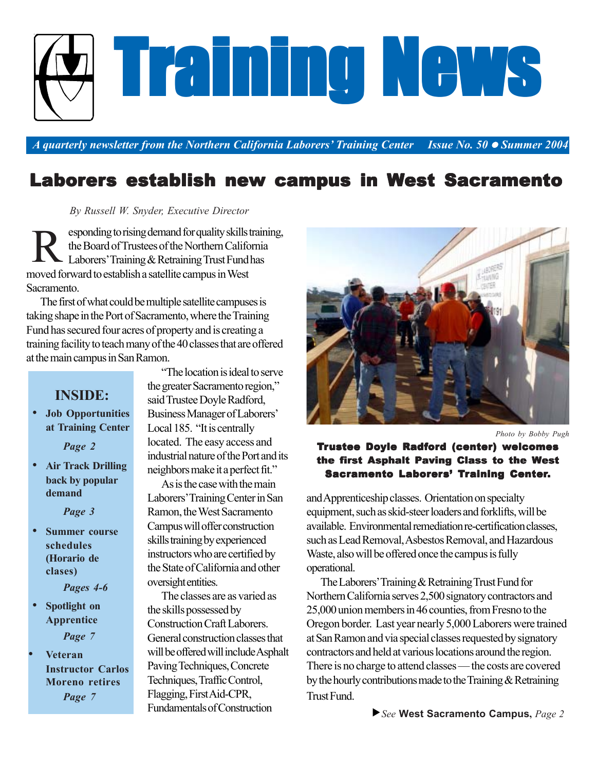

*A* quarterly newsletter from the Northern California Laborers' Training Center *inderine No.* 50 ● Summer 2004

# Laborers establish new campus in West Sacramento

 *By Russell W. Snyder, Executive Director*

esponding to rising demand for quality skills training, the Board of Trustees of the Northern California - Laborers' Training  $&$  Retraining Trust Fund has moved forward to establish a satellite campus in West Sacramento. R

The first of what could be multiple satellite campuses is taking shape in the Port of Sacramento, where the Training Fund has secured four acres of property and is creating a training facility to teach many of the 40 classes that are offered at the main campus in San Ramon.

## **INSIDE:**

 • **Job Opportunities at Training Center**

*Page 2*

 • **Air Track Drilling back by popular demand**

*Page 3*

- **Summer course schedules (Horario de clases)**
	- *Pages 4-6*
- **Spotlight on Apprentice** *Page 7*
- **Veteran Instructor Carlos Moreno retires** *Page 7*

"The location is ideal to serve the greater Sacramento region," said Trustee Doyle Radford, Business Manager of Laborers' Local 185. "It is centrally located. The easy access and industrial nature of the Port and its neighbors make it a perfect fit."

As is the case with the main Laborers' Training Center in San Ramon, the West Sacramento Campus will offer construction skills training by experienced instructors who are certified by the State of California and other oversight entities.

The classes are as varied as the skills possessed by Construction Craft Laborers. General construction classes that will be offered will include Asphalt Paving Techniques, Concrete Techniques, Traffic Control, Flagging, First Aid-CPR, Fundamentals of Construction



*Photo by Bobby Pugh*

#### Trustee Doyle Radford (center) welcomes the first Asphalt Paving Class to the West Sacramento Laborers' Training Center.

and Apprenticeship classes. Orientation on specialty equipment, such as skid-steer loaders and forklifts, will be available. Environmental remediation re-certification classes, such as Lead Removal, Asbestos Removal, and Hazardous Waste, also will be offered once the campus is fully operational.

The Laborers' Training & Retraining Trust Fund for Northern California serves 2,500 signatory contractors and 25,000 union members in 46 counties, from Fresno to the Oregon border. Last year nearly 5,000 Laborers were trained at San Ramon and via special classes requested by signatory contractors and held at various locations around the region. There is no charge to attend classes — the costs are covered by the hourly contributions made to the Training & Retraining Trust Fund.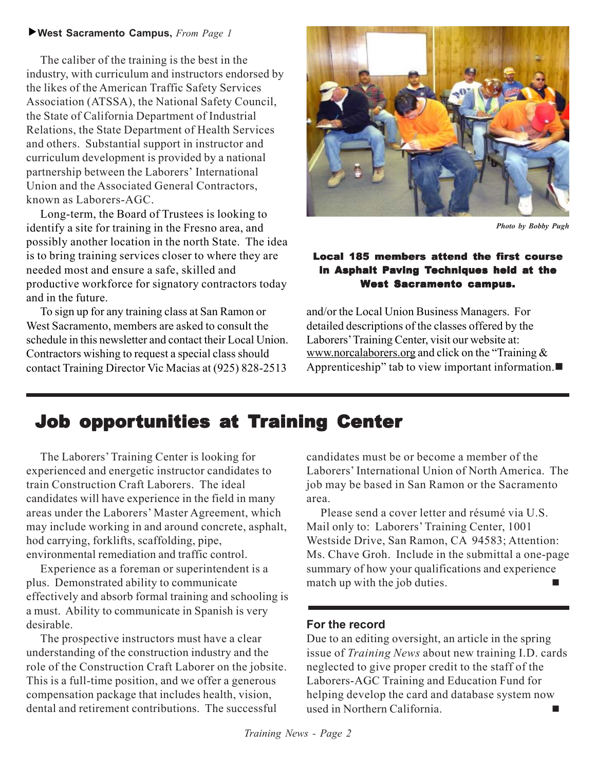#### f**West Sacramento Campus,** *From Page 1*

The caliber of the training is the best in the industry, with curriculum and instructors endorsed by the likes of the American Traffic Safety Services Association (ATSSA), the National Safety Council, the State of California Department of Industrial Relations, the State Department of Health Services and others. Substantial support in instructor and curriculum development is provided by a national partnership between the Laborers' International Union and the Associated General Contractors, known as Laborers-AGC.

Long-term, the Board of Trustees is looking to identify a site for training in the Fresno area, and possibly another location in the north State. The idea is to bring training services closer to where they are needed most and ensure a safe, skilled and productive workforce for signatory contractors today and in the future.

To sign up for any training class at San Ramon or West Sacramento, members are asked to consult the schedule in this newsletter and contact their Local Union. Contractors wishing to request a special class should contact Training Director Vic Macias at (925) 828-2513



*Photo by Bobby Pugh*

#### Local 185 members attend the first course in Asphalt Paving Techniques held at the **West Sacramento campus.**

and/or the Local Union Business Managers. For detailed descriptions of the classes offered by the Laborers' Training Center, visit our website at: www.norcalaborers.org and click on the "Training & Apprenticeship" tab to view important information.

## Job opportunities at Training Center

The Laborers' Training Center is looking for experienced and energetic instructor candidates to train Construction Craft Laborers. The ideal candidates will have experience in the field in many areas under the Laborers' Master Agreement, which may include working in and around concrete, asphalt, hod carrying, forklifts, scaffolding, pipe, environmental remediation and traffic control.

Experience as a foreman or superintendent is a plus. Demonstrated ability to communicate effectively and absorb formal training and schooling is a must. Ability to communicate in Spanish is very desirable.

The prospective instructors must have a clear understanding of the construction industry and the role of the Construction Craft Laborer on the jobsite. This is a full-time position, and we offer a generous compensation package that includes health, vision, dental and retirement contributions. The successful

candidates must be or become a member of the Laborers' International Union of North America. The job may be based in San Ramon or the Sacramento area.

Please send a cover letter and résumé via U.S. Mail only to: Laborers' Training Center, 1001 Westside Drive, San Ramon, CA 94583; Attention: Ms. Chave Groh. Include in the submittal a one-page summary of how your qualifications and experience match up with the job duties.

### **For the record**

Due to an editing oversight, an article in the spring issue of *Training News* about new training I.D. cards neglected to give proper credit to the staff of the Laborers-AGC Training and Education Fund for helping develop the card and database system now used in Northern California.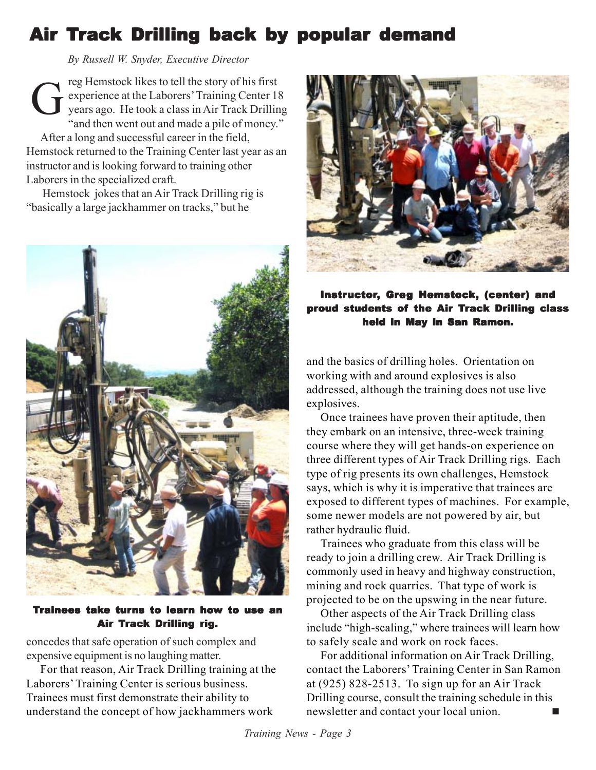# Air Track Drilling back by popular demand

 *By Russell W. Snyder, Executive Director*

reg Hemstock likes to tell the story of his first experience at the Laborers' Training Center 18 years ago. He took a class in Air Track Drilling "and then went out and made a pile of money." After a long and successful career in the field, Hemstock returned to the Training Center last year as an instructor and is looking forward to training other Laborers in the specialized craft. G

 Hemstock jokes that an Air Track Drilling rig is "basically a large jackhammer on tracks," but he



#### Trainees take turns to learn how to use an Air Track Drilling rig.

concedes that safe operation of such complex and expensive equipment is no laughing matter.

For that reason, Air Track Drilling training at the Laborers' Training Center is serious business. Trainees must first demonstrate their ability to understand the concept of how jackhammers work



### Instructor, Greg Hemstock, (center) and proud students of the Air Track Drilling class held in May in San Ramon.

and the basics of drilling holes. Orientation on working with and around explosives is also addressed, although the training does not use live explosives.

Once trainees have proven their aptitude, then they embark on an intensive, three-week training course where they will get hands-on experience on three different types of Air Track Drilling rigs. Each type of rig presents its own challenges, Hemstock says, which is why it is imperative that trainees are exposed to different types of machines. For example, some newer models are not powered by air, but rather hydraulic fluid.

Trainees who graduate from this class will be ready to join a drilling crew. Air Track Drilling is commonly used in heavy and highway construction, mining and rock quarries. That type of work is projected to be on the upswing in the near future.

Other aspects of the Air Track Drilling class include "high-scaling," where trainees will learn how to safely scale and work on rock faces.

For additional information on Air Track Drilling, contact the Laborers' Training Center in San Ramon at (925) 828-2513. To sign up for an Air Track Drilling course, consult the training schedule in this newsletter and contact your local union.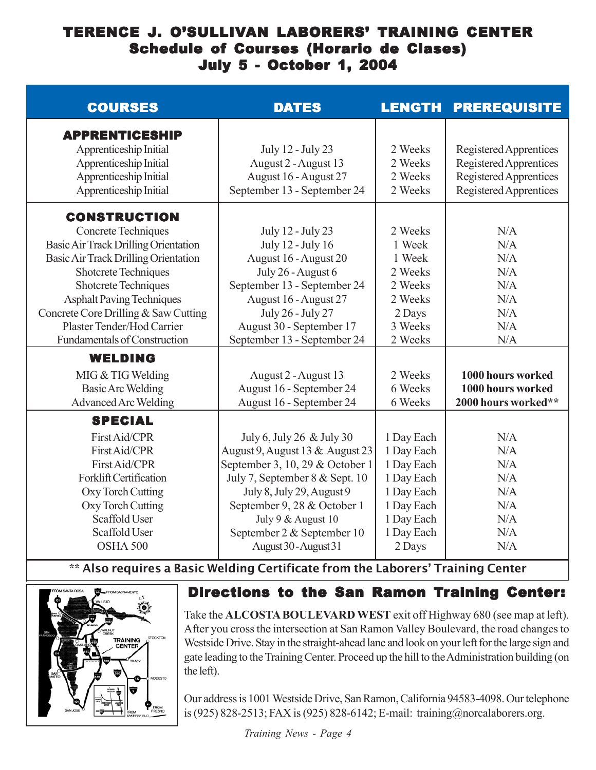## TERENCE J. O'SULLIVAN LABORERS' TRAINING CENTER Schedule of Courses (Horario de Clases) July 5 - October 1, 2004

| <b>COURSES</b>                                                                                                                                                                                                                                                                                                              | <b>DATES</b>                                                                                                                                                                                                                                                               | <b>LENGTH</b>                                                                                                          | <b>PREREQUISITE</b>                                                                                  |
|-----------------------------------------------------------------------------------------------------------------------------------------------------------------------------------------------------------------------------------------------------------------------------------------------------------------------------|----------------------------------------------------------------------------------------------------------------------------------------------------------------------------------------------------------------------------------------------------------------------------|------------------------------------------------------------------------------------------------------------------------|------------------------------------------------------------------------------------------------------|
| <b>APPRENTICESHIP</b><br>Apprenticeship Initial<br>Apprenticeship Initial<br>Apprenticeship Initial<br>Apprenticeship Initial                                                                                                                                                                                               | July 12 - July 23<br>August 2 - August 13<br>August 16 - August 27<br>September 13 - September 24                                                                                                                                                                          | 2 Weeks<br>2 Weeks<br>2 Weeks<br>2 Weeks                                                                               | Registered Apprentices<br>Registered Apprentices<br>Registered Apprentices<br>Registered Apprentices |
| <b>CONSTRUCTION</b><br>Concrete Techniques<br>Basic Air Track Drilling Orientation<br>Basic Air Track Drilling Orientation<br>Shotcrete Techniques<br>Shotcrete Techniques<br><b>Asphalt Paving Techniques</b><br>Concrete Core Drilling & Saw Cutting<br>Plaster Tender/Hod Carrier<br><b>Fundamentals of Construction</b> | July 12 - July 23<br>July 12 - July 16<br>August 16 - August 20<br>July 26 - August 6<br>September 13 - September 24<br>August 16 - August 27<br>July 26 - July 27<br>August 30 - September 17<br>September 13 - September 24                                              | 2 Weeks<br>1 Week<br>1 Week<br>2 Weeks<br>2 Weeks<br>2 Weeks<br>2 Days<br>3 Weeks<br>2 Weeks                           | N/A<br>N/A<br>N/A<br>N/A<br>N/A<br>N/A<br>N/A<br>N/A<br>N/A                                          |
| <b>WELDING</b><br>MIG & TIG Welding<br><b>Basic Arc Welding</b><br><b>Advanced Arc Welding</b>                                                                                                                                                                                                                              | August 2 - August 13<br>August 16 - September 24<br>August 16 - September 24                                                                                                                                                                                               | 2 Weeks<br>6 Weeks<br>6 Weeks                                                                                          | 1000 hours worked<br>1000 hours worked<br>2000 hours worked**                                        |
| <b>SPECIAL</b><br>First Aid/CPR<br>First Aid/CPR<br>First Aid/CPR<br>Forklift Certification<br>Oxy Torch Cutting<br>Oxy Torch Cutting<br>Scaffold User<br>Scaffold User<br>OSHA 500                                                                                                                                         | July 6, July 26 & July 30<br>August 9, August 13 & August 23<br>September 3, 10, 29 & October 1<br>July 7, September 8 & Sept. 10<br>July 8, July 29, August 9<br>September 9, 28 & October 1<br>July 9 & August 10<br>September 2 & September 10<br>August 30 - August 31 | 1 Day Each<br>1 Day Each<br>1 Day Each<br>1 Day Each<br>1 Day Each<br>1 Day Each<br>1 Day Each<br>1 Day Each<br>2 Days | N/A<br>N/A<br>N/A<br>N/A<br>N/A<br>N/A<br>N/A<br>N/A<br>N/A                                          |

\*\* Also requires a Basic Welding Certificate from the Laborers' Training Center



## Directions to the San Ramon Training Center:

Take the **ALCOSTA BOULEVARD WEST** exit off Highway 680 (see map at left). After you cross the intersection at San Ramon Valley Boulevard, the road changes to Westside Drive. Stay in the straight-ahead lane and look on your left for the large sign and gate leading to the Training Center. Proceed up the hill to the Administration building (on the left).

Our address is 1001 Westside Drive, San Ramon, California 94583-4098. Our telephone is (925) 828-2513; FAX is (925) 828-6142; E-mail: training@norcalaborers.org.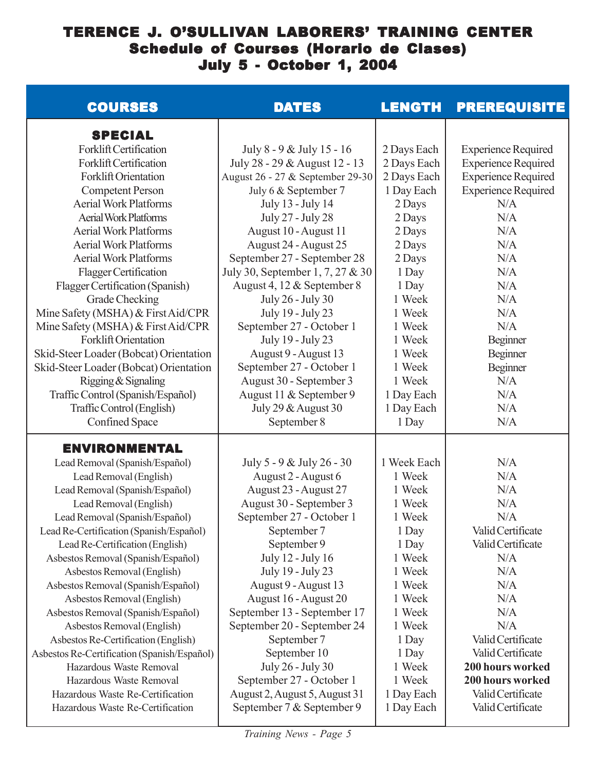## TERENCE J. O'SULLIVAN LABORERS' TRAINING CENTER Schedule of Courses (Horario de Clases) July 5 - October 1, 2004

| <b>COURSES</b>                                                   | <b>DATES</b>                                                      | <b>LENGTH</b>              | <b>PREREQUISITE</b>                                      |
|------------------------------------------------------------------|-------------------------------------------------------------------|----------------------------|----------------------------------------------------------|
| <b>SPECIAL</b>                                                   |                                                                   |                            |                                                          |
| Forklift Certification                                           | July 8 - 9 & July 15 - 16                                         | 2 Days Each                | <b>Experience Required</b>                               |
| Forklift Certification<br><b>Forklift Orientation</b>            | July 28 - 29 & August 12 - 13<br>August 26 - 27 & September 29-30 | 2 Days Each<br>2 Days Each | <b>Experience Required</b><br><b>Experience Required</b> |
| <b>Competent Person</b>                                          | July 6 & September 7                                              | 1 Day Each                 | <b>Experience Required</b>                               |
| <b>Aerial Work Platforms</b>                                     | July 13 - July 14                                                 | 2 Days                     | N/A                                                      |
| <b>Aerial Work Platforms</b>                                     | July 27 - July 28                                                 | 2 Days                     | N/A                                                      |
| <b>Aerial Work Platforms</b>                                     | August 10 - August 11                                             | 2 Days                     | N/A                                                      |
| <b>Aerial Work Platforms</b>                                     | August 24 - August 25                                             | 2 Days                     | N/A                                                      |
| <b>Aerial Work Platforms</b>                                     | September 27 - September 28                                       | 2 Days                     | N/A                                                      |
| Flagger Certification                                            | July 30, September 1, 7, 27 & 30                                  | 1 Day                      | N/A                                                      |
| Flagger Certification (Spanish)                                  | August 4, 12 & September 8                                        | 1 Day                      | N/A                                                      |
| Grade Checking                                                   | July 26 - July 30                                                 | 1 Week                     | N/A                                                      |
| Mine Safety (MSHA) & First Aid/CPR                               | July 19 - July 23                                                 | 1 Week                     | N/A                                                      |
| Mine Safety (MSHA) & First Aid/CPR                               | September 27 - October 1                                          | 1 Week                     | N/A                                                      |
| <b>Forklift Orientation</b>                                      | July 19 - July 23                                                 | 1 Week                     | Beginner                                                 |
| Skid-Steer Loader (Bobcat) Orientation                           | August 9 - August 13                                              | 1 Week                     | Beginner                                                 |
| Skid-Steer Loader (Bobcat) Orientation                           | September 27 - October 1                                          | 1 Week                     | Beginner                                                 |
| Rigging & Signaling                                              | August 30 - September 3                                           | 1 Week                     | N/A                                                      |
| Traffic Control (Spanish/Español)                                | August 11 & September 9                                           | 1 Day Each                 | N/A                                                      |
| Traffic Control (English)                                        | July 29 & August 30                                               | 1 Day Each                 | N/A                                                      |
| <b>Confined Space</b>                                            | September 8                                                       | 1 Day                      | N/A                                                      |
| <b>ENVIRONMENTAL</b>                                             |                                                                   |                            |                                                          |
| Lead Removal (Spanish/Español)                                   | July 5 - 9 & July 26 - 30                                         | 1 Week Each                | N/A                                                      |
| Lead Removal (English)                                           | August 2 - August 6                                               | 1 Week                     | N/A                                                      |
| Lead Removal (Spanish/Español)                                   | August 23 - August 27                                             | 1 Week                     | N/A                                                      |
| Lead Removal (English)                                           | August 30 - September 3                                           | 1 Week                     | N/A                                                      |
| Lead Removal (Spanish/Español)                                   | September 27 - October 1                                          | 1 Week                     | N/A                                                      |
| Lead Re-Certification (Spanish/Español)                          | September 7                                                       | 1 Day                      | Valid Certificate                                        |
| Lead Re-Certification (English)                                  | September 9                                                       | 1 Day<br>1 Week            | Valid Certificate<br>N/A                                 |
| Asbestos Removal (Spanish/Español)<br>Asbestos Removal (English) | July 12 - July 16<br>July 19 - July 23                            | 1 Week                     | N/A                                                      |
| Asbestos Removal (Spanish/Español)                               | August 9 - August 13                                              | 1 Week                     | N/A                                                      |
| Asbestos Removal (English)                                       | August 16 - August 20                                             | 1 Week                     | N/A                                                      |
| Asbestos Removal (Spanish/Español)                               | September 13 - September 17                                       | 1 Week                     | N/A                                                      |
| Asbestos Removal (English)                                       | September 20 - September 24                                       | 1 Week                     | N/A                                                      |
| Asbestos Re-Certification (English)                              | September 7                                                       | 1 Day                      | Valid Certificate                                        |
| Asbestos Re-Certification (Spanish/Español)                      | September 10                                                      | 1 Day                      | Valid Certificate                                        |
| Hazardous Waste Removal                                          | July 26 - July 30                                                 | 1 Week                     | 200 hours worked                                         |
| Hazardous Waste Removal                                          | September 27 - October 1                                          | 1 Week                     | 200 hours worked                                         |
| Hazardous Waste Re-Certification                                 | August 2, August 5, August 31                                     | 1 Day Each                 | Valid Certificate                                        |
| Hazardous Waste Re-Certification                                 | September 7 & September 9                                         | 1 Day Each                 | Valid Certificate                                        |
|                                                                  |                                                                   |                            |                                                          |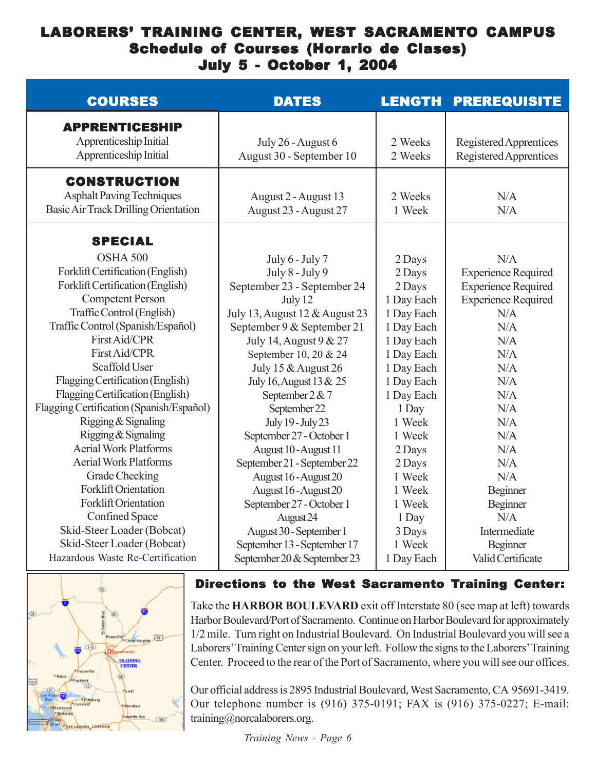## LABORERS' TRAINING CENTER, WEST SACRAMENTO CAMPUS Schedule of Courses (Horario de Clases) July 5 - October 1, 2004

| <b>COURSES</b>                                                                                                                                                                                                                                                                                                                                                                                                                                                                                                                                                       | <b>DATES</b>                                                                                                                                                                                                                                                                                                                                                                                                                                                                | <b>LENGTH</b>                                                                                                                                                                                                             | <b>PREREQUISITE</b>                                                                                                                                                                                              |
|----------------------------------------------------------------------------------------------------------------------------------------------------------------------------------------------------------------------------------------------------------------------------------------------------------------------------------------------------------------------------------------------------------------------------------------------------------------------------------------------------------------------------------------------------------------------|-----------------------------------------------------------------------------------------------------------------------------------------------------------------------------------------------------------------------------------------------------------------------------------------------------------------------------------------------------------------------------------------------------------------------------------------------------------------------------|---------------------------------------------------------------------------------------------------------------------------------------------------------------------------------------------------------------------------|------------------------------------------------------------------------------------------------------------------------------------------------------------------------------------------------------------------|
| <b>APPRENTICESHIP</b><br>Apprenticeship Initial<br>Apprenticeship Initial                                                                                                                                                                                                                                                                                                                                                                                                                                                                                            | July 26 - August 6<br>August 30 - September 10                                                                                                                                                                                                                                                                                                                                                                                                                              | 2 Weeks<br>2 Weeks                                                                                                                                                                                                        | Registered Apprentices<br>Registered Apprentices                                                                                                                                                                 |
| <b>CONSTRUCTION</b><br><b>Asphalt Paving Techniques</b><br>Basic Air Track Drilling Orientation                                                                                                                                                                                                                                                                                                                                                                                                                                                                      | August 2 - August 13<br>August 23 - August 27                                                                                                                                                                                                                                                                                                                                                                                                                               | 2 Weeks<br>1 Week                                                                                                                                                                                                         | N/A<br>N/A                                                                                                                                                                                                       |
| <b>SPECIAL</b><br>OSHA 500<br>Forklift Certification (English)<br>Forklift Certification (English)<br><b>Competent Person</b><br>Traffic Control (English)<br>Traffic Control (Spanish/Español)<br>First Aid/CPR<br>First Aid/CPR<br>Scaffold User<br>Flagging Certification (English)<br>Flagging Certification (English)<br>Flagging Certification (Spanish/Español)<br>Rigging & Signaling<br>Rigging & Signaling<br><b>Aerial Work Platforms</b><br><b>Aerial Work Platforms</b><br>Grade Checking<br><b>Forklift Orientation</b><br><b>Forklift Orientation</b> | July 6 - July 7<br>July 8 - July 9<br>September 23 - September 24<br>July 12<br>July 13, August 12 & August 23<br>September 9 & September 21<br>July 14, August 9 & 27<br>September 10, 20 & 24<br>July 15 & August 26<br>July 16, August 13 & 25<br>September 2 & 7<br>September 22<br>July 19 - July 23<br>September 27 - October 1<br>August 10 - August 11<br>September 21 - September 22<br>August 16 - August 20<br>August 16 - August 20<br>September 27 - October 1 | 2 Days<br>2 Days<br>2 Days<br>1 Day Each<br>1 Day Each<br>1 Day Each<br>1 Day Each<br>1 Day Each<br>1 Day Each<br>1 Day Each<br>1 Day Each<br>1 Day<br>1 Week<br>1 Week<br>2 Days<br>2 Days<br>1 Week<br>1 Week<br>1 Week | N/A<br><b>Experience Required</b><br><b>Experience Required</b><br><b>Experience Required</b><br>N/A<br>N/A<br>N/A<br>N/A<br>N/A<br>N/A<br>N/A<br>N/A<br>N/A<br>N/A<br>N/A<br>N/A<br>N/A<br>Beginner<br>Beginner |
| Confined Space<br>Skid-Steer Loader (Bobcat)<br>Skid-Steer Loader (Bobcat)<br>Hazardous Waste Re-Certification                                                                                                                                                                                                                                                                                                                                                                                                                                                       | August 24<br>August 30 - September 1<br>September 13 - September 17<br>September 20 & September 23                                                                                                                                                                                                                                                                                                                                                                          | 1 Day<br>3 Days<br>1 Week<br>1 Day Each                                                                                                                                                                                   | N/A<br>Intermediate<br>Beginner<br>Valid Certificate                                                                                                                                                             |



## Directions to the West Sacramento Training Center:

Take the **HARBOR BOULEVARD** exit off Interstate 80 (see map at left) towards Harbor Boulevard/Port of Sacramento. Continue on Harbor Boulevard for approximately 1/2 mile. Turn right on Industrial Boulevard. On Industrial Boulevard you will see a Laborers' Training Center sign on your left. Follow the signs to the Laborers' Training Center. Proceed to the rear of the Port of Sacramento, where you will see our offices.

Our official address is 2895 Industrial Boulevard, West Sacramento, CA 95691-3419. Our telephone number is (916) 375-0191; FAX is (916) 375-0227; E-mail: training@norcalaborers.org.

*Training News - Page 6*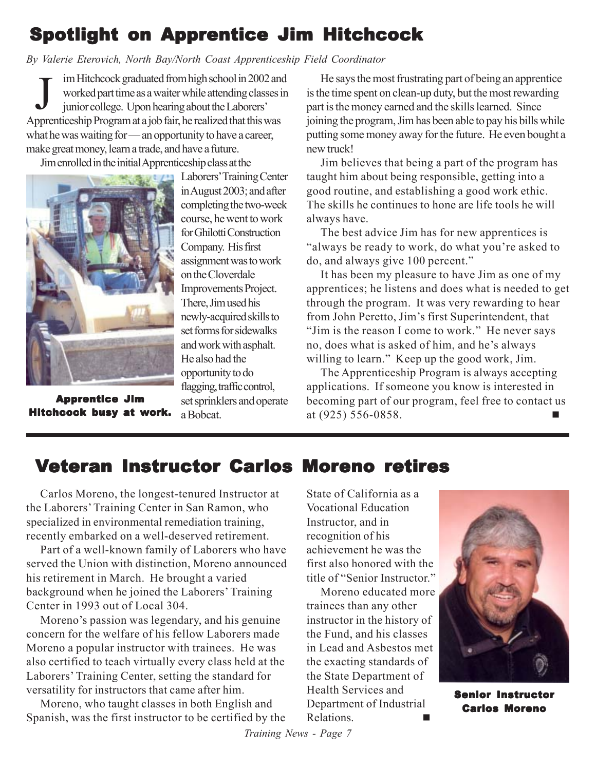# Spotlight on Apprentice Jim Hitchcock

## *By Valerie Eterovich, North Bay/North Coast Apprenticeship Field Coordinator*

im Hitchcock graduated from high school in 2002 and worked part time as a waiter while attending classes in junior college. Upon hearing about the Laborers' Apprenticeship Program at a job fair, he realized that this was what he was waiting for — an opportunity to have a career, make great money, learn a trade, and have a future. J

Jim enrolled in the initial Apprenticeship class at the



Apprentice Jim Hitchcock busy at work.

Laborers' Training Center in August 2003; and after completing the two-week course, he went to work for Ghilotti Construction Company. His first assignment was to work on the Cloverdale Improvements Project. There, Jim used his newly-acquired skills to set forms for sidewalks and work with asphalt. He also had the opportunity to do flagging, traffic control, set sprinklers and operate a Bobcat.

He says the most frustrating part of being an apprentice is the time spent on clean-up duty, but the most rewarding part is the money earned and the skills learned. Since joining the program, Jim has been able to pay his bills while putting some money away for the future. He even bought a new truck!

Jim believes that being a part of the program has taught him about being responsible, getting into a good routine, and establishing a good work ethic. The skills he continues to hone are life tools he will always have.

The best advice Jim has for new apprentices is "always be ready to work, do what you're asked to do, and always give 100 percent."

It has been my pleasure to have Jim as one of my apprentices; he listens and does what is needed to get through the program. It was very rewarding to hear from John Peretto, Jim's first Superintendent, that "Jim is the reason I come to work." He never says no, does what is asked of him, and he's always willing to learn." Keep up the good work, Jim.

The Apprenticeship Program is always accepting applications. If someone you know is interested in becoming part of our program, feel free to contact us at (925) 556-0858.

# Veteran Instructor Carlos Moreno retires

Carlos Moreno, the longest-tenured Instructor at the Laborers' Training Center in San Ramon, who specialized in environmental remediation training, recently embarked on a well-deserved retirement.

Part of a well-known family of Laborers who have served the Union with distinction, Moreno announced his retirement in March. He brought a varied background when he joined the Laborers' Training Center in 1993 out of Local 304.

Moreno's passion was legendary, and his genuine concern for the welfare of his fellow Laborers made Moreno a popular instructor with trainees. He was also certified to teach virtually every class held at the Laborers' Training Center, setting the standard for versatility for instructors that came after him.

Moreno, who taught classes in both English and Spanish, was the first instructor to be certified by the State of California as a Vocational Education Instructor, and in recognition of his achievement he was the first also honored with the title of "Senior Instructor."

Moreno educated more trainees than any other instructor in the history of the Fund, and his classes in Lead and Asbestos met the exacting standards of the State Department of Health Services and Department of Industrial Relations.



Senior Instructor Carlos Moreno